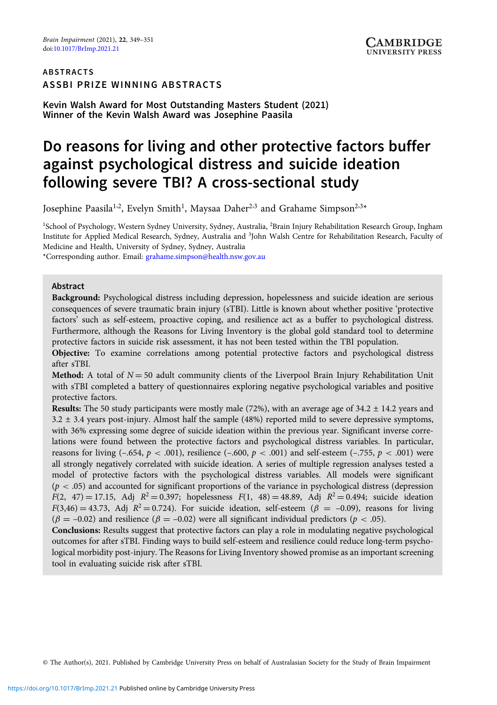## ABSTRACTS ASSBI PRIZE WINNING ABSTRACTS

Kevin Walsh Award for Most Outstanding Masters Student (2021) Winner of the Kevin Walsh Award was Josephine Paasila

# Do reasons for living and other protective factors buffer against psychological distress and suicide ideation following severe TBI? A cross-sectional study

Josephine Paasila $^{1,2}$ , Evelyn Smith $^{1}$ , Maysaa Daher $^{2,3}$  and Grahame Simpson $^{2,3\ast}$ 

<sup>1</sup>School of Psychology, Western Sydney University, Sydney, Australia, <sup>2</sup>Brain Injury Rehabilitation Research Group, Ingham Institute for Applied Medical Research, Sydney, Australia and <sup>3</sup> John Walsh Centre for Rehabilitation Research, Faculty of Medicine and Health, University of Sydney, Sydney, Australia

\*Corresponding author. Email: [grahame.simpson@health.nsw.gov.au](mailto:grahame.simpson@health.nsw.gov.au)

### Abstract

Background: Psychological distress including depression, hopelessness and suicide ideation are serious consequences of severe traumatic brain injury (sTBI). Little is known about whether positive 'protective factors' such as self-esteem, proactive coping, and resilience act as a buffer to psychological distress. Furthermore, although the Reasons for Living Inventory is the global gold standard tool to determine protective factors in suicide risk assessment, it has not been tested within the TBI population.

Objective: To examine correlations among potential protective factors and psychological distress after sTBI.

**Method:** A total of  $N = 50$  adult community clients of the Liverpool Brain Injury Rehabilitation Unit with sTBI completed a battery of questionnaires exploring negative psychological variables and positive protective factors.

Results: The 50 study participants were mostly male (72%), with an average age of 34.2 ± 14.2 years and  $3.2 \pm 3.4$  years post-injury. Almost half the sample (48%) reported mild to severe depressive symptoms, with 36% expressing some degree of suicide ideation within the previous year. Significant inverse correlations were found between the protective factors and psychological distress variables. In particular, reasons for living  $(-.654, p < .001)$ , resilience  $(-.600, p < .001)$  and self-esteem  $(-.755, p < .001)$  were all strongly negatively correlated with suicide ideation. A series of multiple regression analyses tested a model of protective factors with the psychological distress variables. All models were significant  $(p < .05)$  and accounted for significant proportions of the variance in psychological distress (depression  $F(2, 47) = 17.15$ , Adj  $R^2 = 0.397$ ; hopelessness  $F(1, 48) = 48.89$ , Adj  $R^2 = 0.494$ ; suicide ideation  $F(3,46) = 43.73$ , Adj  $R^2 = 0.724$ ). For suicide ideation, self-esteem ( $\beta = -0.09$ ), reasons for living  $(\beta = -0.02)$  and resilience  $(\beta = -0.02)$  were all significant individual predictors ( $p < .05$ ).

Conclusions: Results suggest that protective factors can play a role in modulating negative psychological outcomes for after sTBI. Finding ways to build self-esteem and resilience could reduce long-term psychological morbidity post-injury. The Reasons for Living Inventory showed promise as an important screening tool in evaluating suicide risk after sTBI.

© The Author(s), 2021. Published by Cambridge University Press on behalf of Australasian Society for the Study of Brain Impairment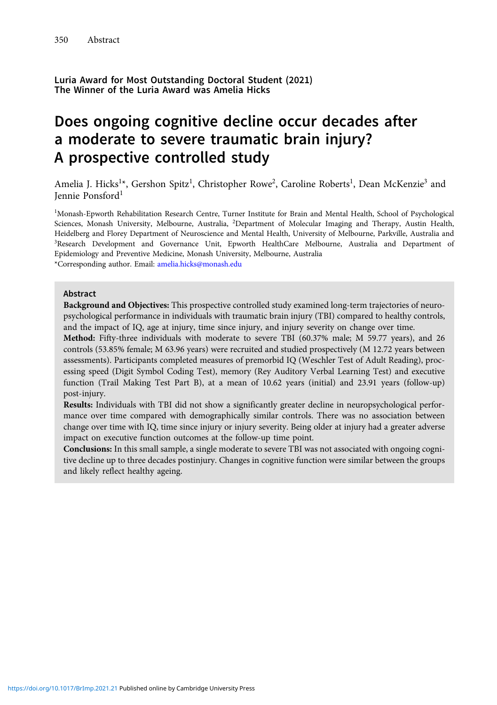Luria Award for Most Outstanding Doctoral Student (2021) The Winner of the Luria Award was Amelia Hicks

# Does ongoing cognitive decline occur decades after a moderate to severe traumatic brain injury? A prospective controlled study

Amelia J. Hicks<sup>1\*</sup>, Gershon Spitz<sup>1</sup>, Christopher Rowe<sup>2</sup>, Caroline Roberts<sup>1</sup>, Dean McKenzie<sup>3</sup> and Jennie Ponsford<sup>1</sup>

<sup>1</sup>Monash-Epworth Rehabilitation Research Centre, Turner Institute for Brain and Mental Health, School of Psychological Sciences, Monash University, Melbourne, Australia, <sup>2</sup>Department of Molecular Imaging and Therapy, Austin Health, Heidelberg and Florey Department of Neuroscience and Mental Health, University of Melbourne, Parkville, Australia and 3 Research Development and Governance Unit, Epworth HealthCare Melbourne, Australia and Department of Epidemiology and Preventive Medicine, Monash University, Melbourne, Australia \*Corresponding author. Email: [amelia.hicks@monash.edu](mailto:amelia.hicks@monash.edu)

### Abstract

Background and Objectives: This prospective controlled study examined long-term trajectories of neuropsychological performance in individuals with traumatic brain injury (TBI) compared to healthy controls, and the impact of IQ, age at injury, time since injury, and injury severity on change over time.

Method: Fifty-three individuals with moderate to severe TBI (60.37% male; M 59.77 years), and 26 controls (53.85% female; M 63.96 years) were recruited and studied prospectively (M 12.72 years between assessments). Participants completed measures of premorbid IQ (Weschler Test of Adult Reading), processing speed (Digit Symbol Coding Test), memory (Rey Auditory Verbal Learning Test) and executive function (Trail Making Test Part B), at a mean of 10.62 years (initial) and 23.91 years (follow-up) post-injury.

Results: Individuals with TBI did not show a significantly greater decline in neuropsychological performance over time compared with demographically similar controls. There was no association between change over time with IQ, time since injury or injury severity. Being older at injury had a greater adverse impact on executive function outcomes at the follow-up time point.

Conclusions: In this small sample, a single moderate to severe TBI was not associated with ongoing cognitive decline up to three decades postinjury. Changes in cognitive function were similar between the groups and likely reflect healthy ageing.